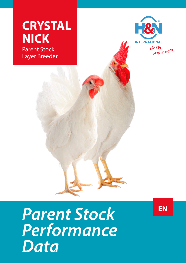



## *Parent Stock Performance Data*

**EN**